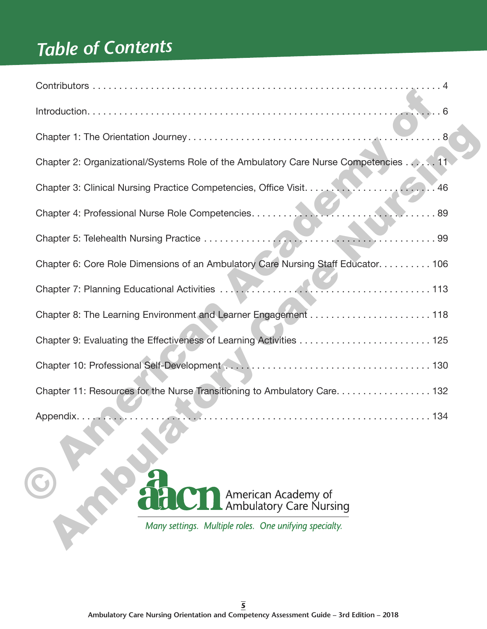## *Table of Contents*

| Chapter 2: Organizational/Systems Role of the Ambulatory Care Nurse Competencies 11 |
|-------------------------------------------------------------------------------------|
|                                                                                     |
|                                                                                     |
|                                                                                     |
| Chapter 6: Core Role Dimensions of an Ambulatory Care Nursing Staff Educator. 106   |
|                                                                                     |
|                                                                                     |
|                                                                                     |
|                                                                                     |
| Chapter 11: Resources for the Nurse Transitioning to Ambulatory Care. 132           |
|                                                                                     |
|                                                                                     |
|                                                                                     |
| American Academy of<br>Ambulatory Care Nursing                                      |
| Many settings. Multiple roles. One unifying specialty.                              |
|                                                                                     |